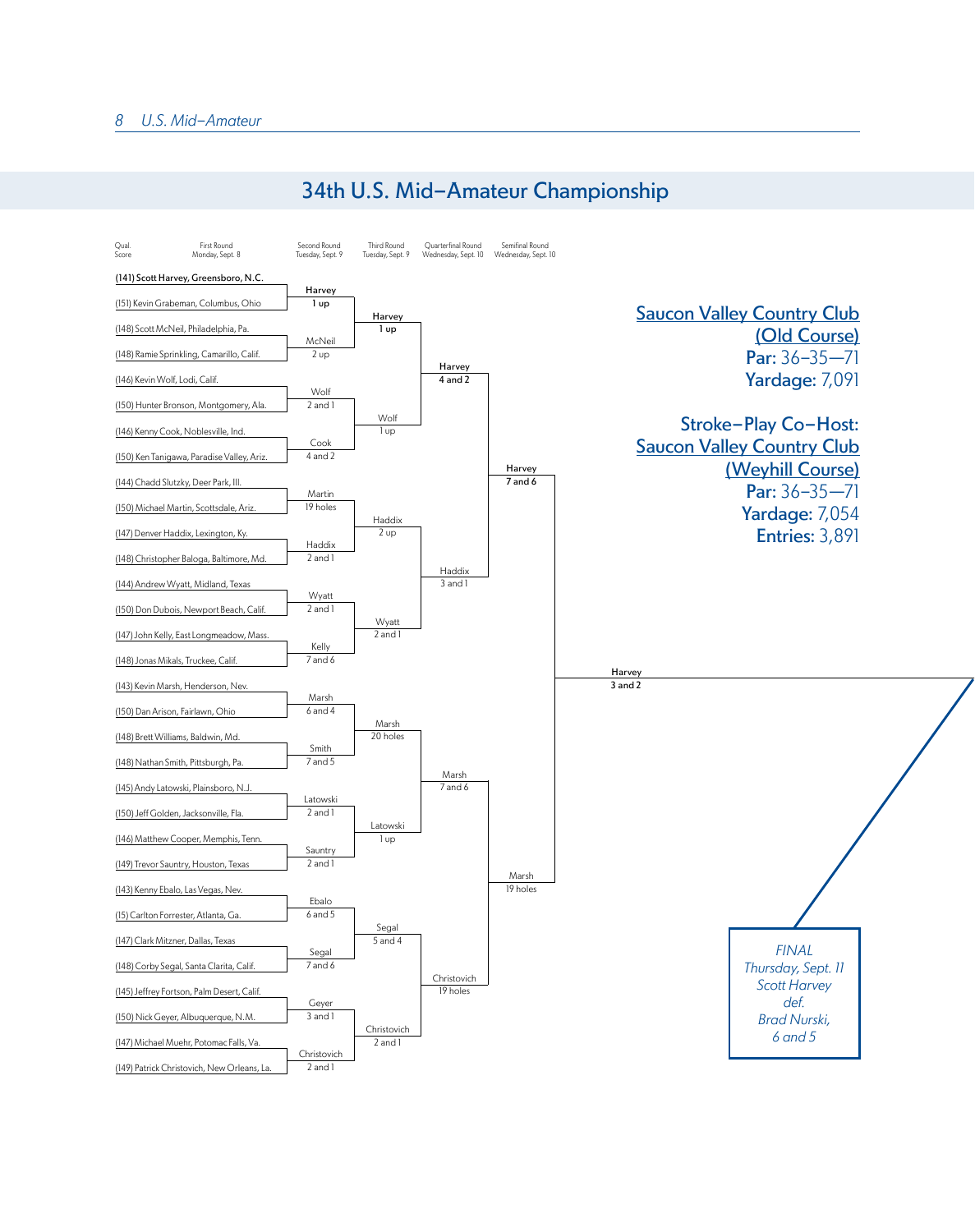

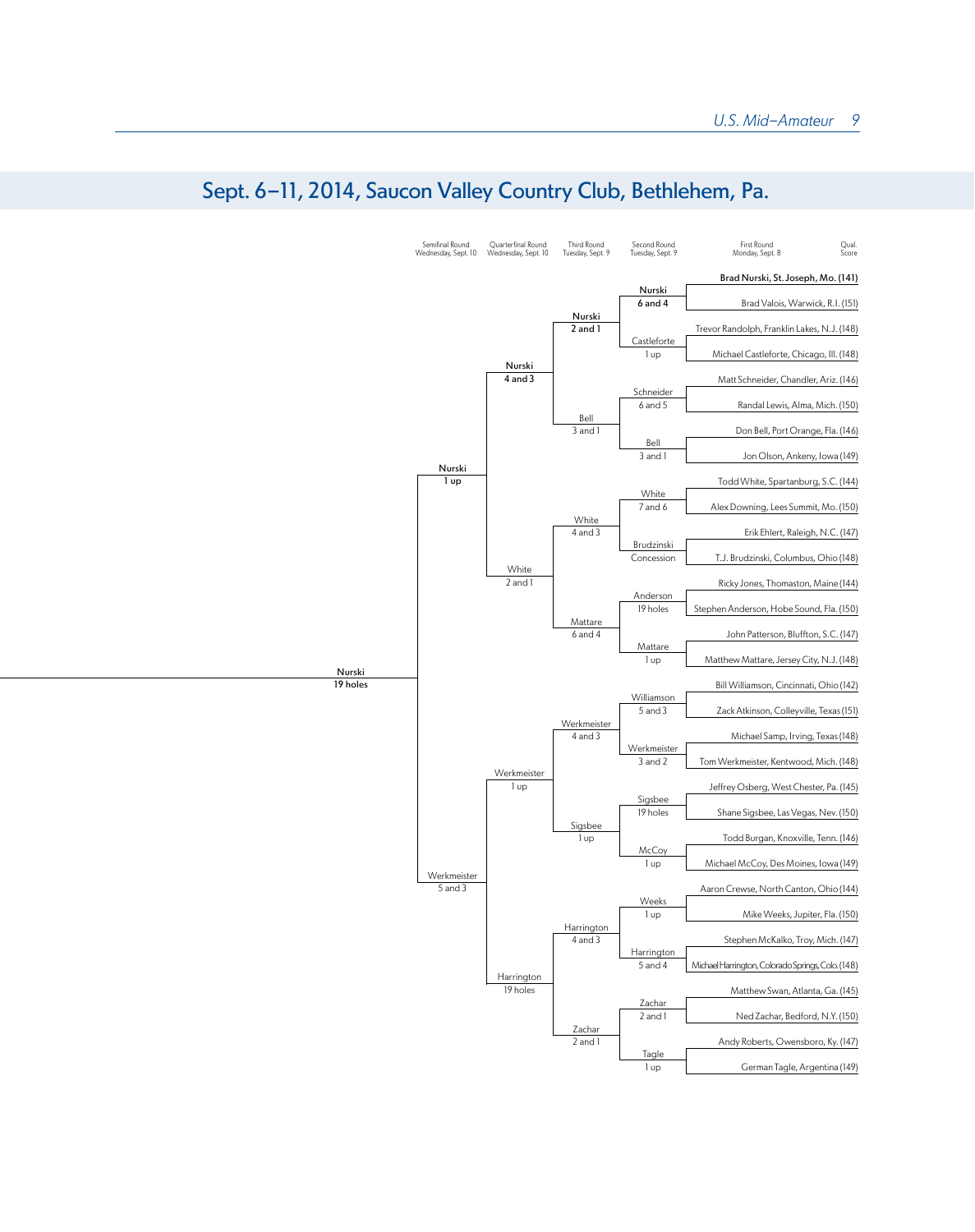

## Sept. 6-11, 2014, Saucon Valley Country Club, Bethlehem, Pa.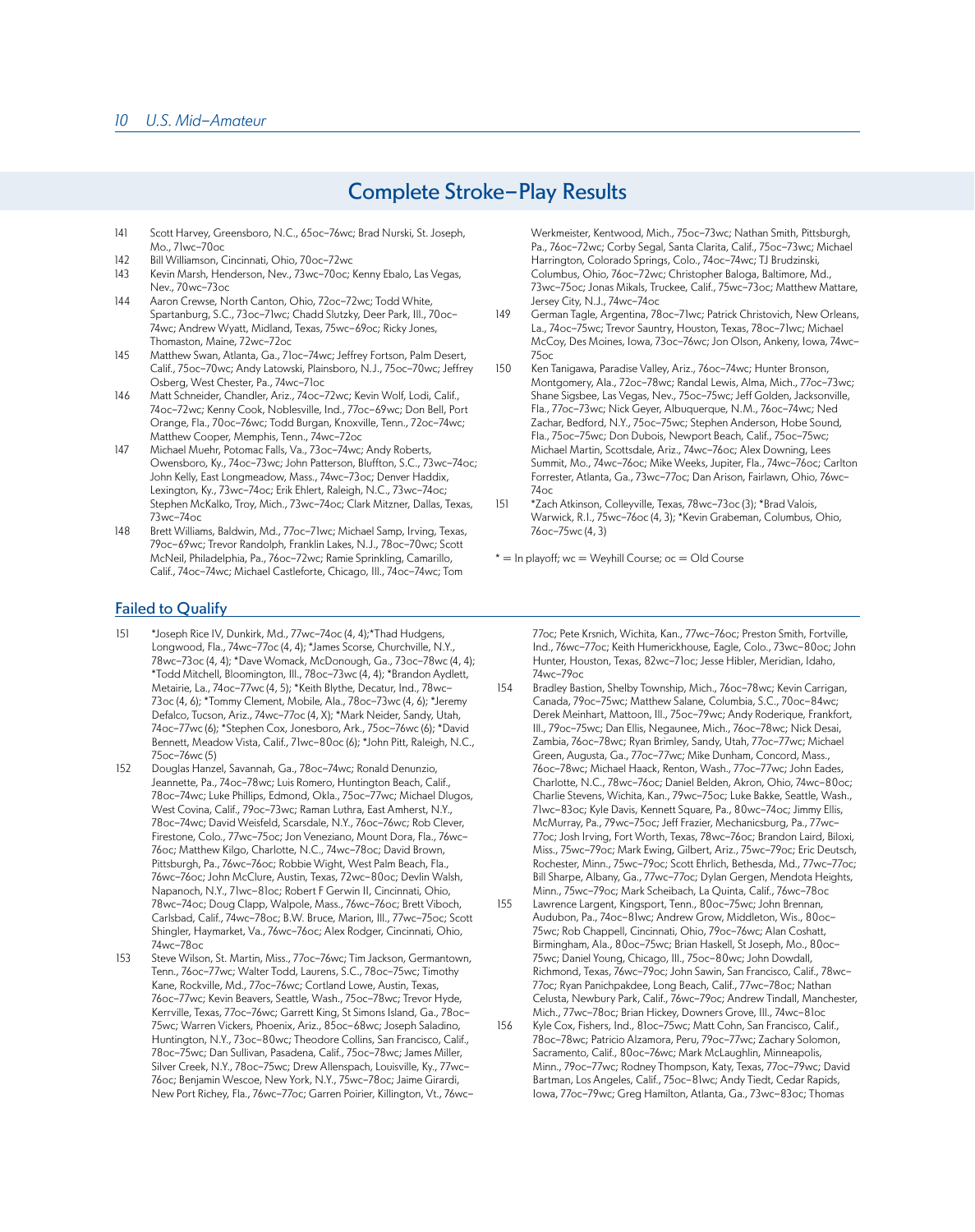## Complete Stroke-Play Results

- 141 Scott Harvey, Greensboro, N.C., 65oc-76wc; Brad Nurski, St. Joseph, Mo., 71wc-70oc
- 142 Bill Williamson, Cincinnati, Ohio, 70oc-72wc
- 143 Kevin Marsh, Henderson, Nev., 73wc-70oc; Kenny Ebalo, Las Vegas, Nev., 70wc-73oc
- 144 Aaron Crewse, North Canton, Ohio, 72oc-72wc; Todd White, Spartanburg, S.C., 73oc-71wc; Chadd Slutzky, Deer Park, Ill., 70oc-74wc; Andrew Wyatt, Midland, Texas, 75wc-69oc; Ricky Jones, Thomaston, Maine, 72wc-72oc
- 145 Matthew Swan, Atlanta, Ga., 71oc-74wc; Jeffrey Fortson, Palm Desert, Calif., 75oc-70wc; Andy Latowski, Plainsboro, N.J., 75oc-70wc; Jeffrey Osberg, West Chester, Pa., 74wc-71oc
- 146 Matt Schneider, Chandler, Ariz., 74oc-72wc; Kevin Wolf, Lodi, Calif., 74oc-72wc; Kenny Cook, Noblesville, Ind., 77oc-69wc; Don Bell, Port Orange, Fla., 70oc-76wc; Todd Burgan, Knoxville, Tenn., 72oc-74wc; Matthew Cooper, Memphis, Tenn., 74wc-72oc.
- 147 Michael Muehr, Potomac Falls, Va., 73oc-74wc; Andy Roberts, Owensboro, Ky., 74oc-73wc; John Patterson, Bluffton, S.C., 73wc-74oc; John Kelly, East Longmeadow, Mass., 74wc-73oc; Denver Haddix, Lexington, Ky., 73wc-74oc; Erik Ehlert, Raleigh, N.C., 73wc-74oc; Stephen McKalko, Troy, Mich., 73wc-74oc; Clark Mitzner, Dallas, Texas, 73wc-74oc
- 148 Brett Williams, Baldwin, Md., 77oc-71wc; Michael Samp, Irving, Texas, 79oc-69wc; Trevor Randolph, Franklin Lakes, N.J., 78oc-70wc; Scott McNeil, Philadelphia, Pa., 76oc-72wc; Ramie Sprinkling, Camarillo, Calif., 74oc-74wc; Michael Castleforte, Chicago, Ill., 74oc-74wc; Tom

Harrington, Colorado Springs, Colo., 74oc-74wc; TJ Brudzinski, Columbus, Ohio, 76oc-72wc; Christopher Baloga, Baltimore, Md., 73wc-75oc; Jonas Mikals, Truckee, Calif., 75wc-73oc; Matthew Mattare, Jersey City, N.J., 74wc-74oc 149 German Tagle, Argentina, 78oc-71wc; Patrick Christovich, New Orleans, La., 74oc-75wc; Trevor Sauntry, Houston, Texas, 78oc-71wc; Michael

McCoy, Des Moines, Iowa, 73oc-76wc; Jon Olson, Ankeny, Iowa, 74wc-

Werkmeister, Kentwood, Mich., 75oc-73wc; Nathan Smith, Pittsburgh, Pa., 76oc-72wc; Corby Segal, Santa Clarita, Calif., 75oc-73wc; Michael

- 75oc 150 Ken Tanigawa, Paradise Valley, Ariz., 76oc-74wc; Hunter Bronson, Montgomery, Ala., 72oc-78wc; Randal Lewis, Alma, Mich., 77oc-73wc; Shane Sigsbee, Las Vegas, Nev., 75oc-75wc; Jeff Golden, Jacksonville, Fla., 77oc-73wc; Nick Geyer, Albuquerque, N.M., 76oc-74wc; Ned Zachar, Bedford, N.Y., 75oc-75wc; Stephen Anderson, Hobe Sound, Fla., 75oc-75wc; Don Dubois, Newport Beach, Calif., 75oc-75wc; Michael Martin, Scottsdale, Ariz., 74wc-76oc; Alex Downing, Lees Summit, Mo., 74wc-76oc; Mike Weeks, Jupiter, Fla., 74wc-76oc; Carlton Forrester, Atlanta, Ga., 73wc-77oc; Dan Arison, Fairlawn, Ohio, 76wc-74oc
- 151 \*Zach Atkinson, Colleyville, Texas, 78wc-73oc (3); \*Brad Valois, Warwick, R.I., 75wc-76oc (4, 3); \*Kevin Grabeman, Columbus, Ohio, 76oc-75wc (4, 3)
- $* =$  In playoff; wc  $=$  Weyhill Course; oc  $=$  Old Course

## Failed to Qualify

- 151 \*Joseph Rice IV, Dunkirk, Md., 77wc-74oc (4, 4);\*Thad Hudgens, Longwood, Fla., 74wc-77oc (4, 4); \*James Scorse, Churchville, N.Y., 78wc-73oc (4, 4); \*Dave Womack, McDonough, Ga., 73oc-78wc (4, 4); \*Todd Mitchell, Bloomington, Ill., 78oc-73wc (4, 4); \*Brandon Aydlett, Metairie, La., 74oc-77wc (4, 5); \*Keith Blythe, Decatur, Ind., 78wc-73oc (4, 6); \*Tommy Clement, Mobile, Ala., 78oc-73wc (4, 6); \*Jeremy Defalco, Tucson, Ariz., 74wc-77oc (4, X); \*Mark Neider, Sandy, Utah, 74oc-77wc (6); \*Stephen Cox, Jonesboro, Ark., 75oc-76wc (6); \*David Bennett, Meadow Vista, Calif., 71wc-80oc (6); \*John Pitt, Raleigh, N.C., 75oc-76wc (5)
- 152 Douglas Hanzel, Savannah, Ga., 78oc-74wc; Ronald Denunzio, Jeannette, Pa., 74oc-78wc; Luis Romero, Huntington Beach, Calif., 78oc-74wc; Luke Phillips, Edmond, Okla., 75oc-77wc; Michael Dlugos, West Covina, Calif., 79oc-73wc; Raman Luthra, East Amherst, N.Y., 78oc-74wc; David Weisfeld, Scarsdale, N.Y., 76oc-76wc; Rob Clever, Firestone, Colo., 77wc-75oc; Jon Veneziano, Mount Dora, Fla., 76wc-76oc; Matthew Kilgo, Charlotte, N.C., 74wc-78oc; David Brown, Pittsburgh, Pa., 76wc-76oc; Robbie Wight, West Palm Beach, Fla., 76wc-76oc; John McClure, Austin, Texas, 72wc-80oc; Devlin Walsh, Napanoch, N.Y., 71wc-81oc; Robert F Gerwin II, Cincinnati, Ohio, 78wc-74oc; Doug Clapp, Walpole, Mass., 76wc-76oc; Brett Viboch, Carlsbad, Calif., 74wc-78oc; B.W. Bruce, Marion, Ill., 77wc-75oc; Scott Shingler, Haymarket, Va., 76wc-76oc; Alex Rodger, Cincinnati, Ohio, 74wc-78oc
- 153 Steve Wilson, St. Martin, Miss., 77oc-76wc; Tim Jackson, Germantown, Tenn., 76oc-77wc; Walter Todd, Laurens, S.C., 78oc-75wc; Timothy Kane, Rockville, Md., 77oc-76wc; Cortland Lowe, Austin, Texas, 76oc-77wc; Kevin Beavers, Seattle, Wash., 75oc-78wc; Trevor Hyde, Kerrville, Texas, 77oc-76wc; Garrett King, St Simons Island, Ga., 78oc-75wc; Warren Vickers, Phoenix, Ariz., 85oc-68wc; Joseph Saladino, Huntington, N.Y., 73oc-80wc; Theodore Collins, San Francisco, Calif., 78oc-75wc; Dan Sullivan, Pasadena, Calif., 75oc-78wc; James Miller, Silver Creek, N.Y., 78oc-75wc; Drew Allenspach, Louisville, Ky., 77wc-76oc; Benjamin Wescoe, New York, N.Y., 75wc-78oc; Jaime Girardi, New Port Richey, Fla., 76wc-77oc; Garren Poirier, Killington, Vt., 76wc-

77oc; Pete Krsnich, Wichita, Kan., 77wc-76oc; Preston Smith, Fortville, Ind., 76wc-77oc; Keith Humerickhouse, Eagle, Colo., 73wc-80oc; John Hunter, Houston, Texas, 82wc-71oc; Jesse Hibler, Meridian, Idaho, 74wc-79oc

- 154 Bradley Bastion, Shelby Township, Mich., 76oc-78wc; Kevin Carrigan, Canada, 79oc-75wc; Matthew Salane, Columbia, S.C., 70oc-84wc; Derek Meinhart, Mattoon, Ill., 75oc-79wc; Andy Roderique, Frankfort, Ill., 79oc-75wc; Dan Ellis, Negaunee, Mich., 76oc-78wc; Nick Desai, Zambia, 76oc-78wc; Ryan Brimley, Sandy, Utah, 77oc-77wc; Michael Green, Augusta, Ga., 77oc-77wc; Mike Dunham, Concord, Mass., 76oc-78wc; Michael Haack, Renton, Wash., 77oc-77wc; John Eades, Charlotte, N.C., 78wc-76oc; Daniel Belden, Akron, Ohio, 74wc-80oc; Charlie Stevens, Wichita, Kan., 79wc-75oc; Luke Bakke, Seattle, Wash., 71wc-83oc; Kyle Davis, Kennett Square, Pa., 80wc-74oc; Jimmy Ellis, McMurray, Pa., 79wc-75oc; Jeff Frazier, Mechanicsburg, Pa., 77wc-77oc; Josh Irving, Fort Worth, Texas, 78wc-76oc; Brandon Laird, Biloxi, Miss., 75wc-79oc; Mark Ewing, Gilbert, Ariz., 75wc-79oc; Eric Deutsch, Rochester, Minn., 75wc-79oc; Scott Ehrlich, Bethesda, Md., 77wc-77oc; Bill Sharpe, Albany, Ga., 77wc-77oc; Dylan Gergen, Mendota Heights, Minn., 75wc-79oc; Mark Scheibach, La Quinta, Calif., 76wc-78oc
- 155 Lawrence Largent, Kingsport, Tenn., 80oc-75wc; John Brennan, Audubon, Pa., 74oc-81wc; Andrew Grow, Middleton, Wis., 80oc-75wc; Rob Chappell, Cincinnati, Ohio, 79oc-76wc; Alan Coshatt, Birmingham, Ala., 80oc-75wc; Brian Haskell, St Joseph, Mo., 80oc-75wc; Daniel Young, Chicago, Ill., 75oc-80wc; John Dowdall, Richmond, Texas, 76wc-79oc; John Sawin, San Francisco, Calif., 78wc-77oc; Ryan Panichpakdee, Long Beach, Calif., 77wc-78oc; Nathan Celusta, Newbury Park, Calif., 76wc-79oc; Andrew Tindall, Manchester, Mich., 77wc-78oc; Brian Hickey, Downers Grove, Ill., 74wc-81oc
- 156 Kyle Cox, Fishers, Ind., 81oc-75wc; Matt Cohn, San Francisco, Calif., 78oc-78wc; Patricio Alzamora, Peru, 79oc-77wc; Zachary Solomon, Sacramento, Calif., 80oc-76wc; Mark McLaughlin, Minneapolis, Minn., 79oc-77wc; Rodney Thompson, Katy, Texas, 77oc-79wc; David Bartman, Los Angeles, Calif., 75oc-81wc; Andy Tiedt, Cedar Rapids, Iowa, 77oc-79wc; Greg Hamilton, Atlanta, Ga., 73wc-83oc; Thomas